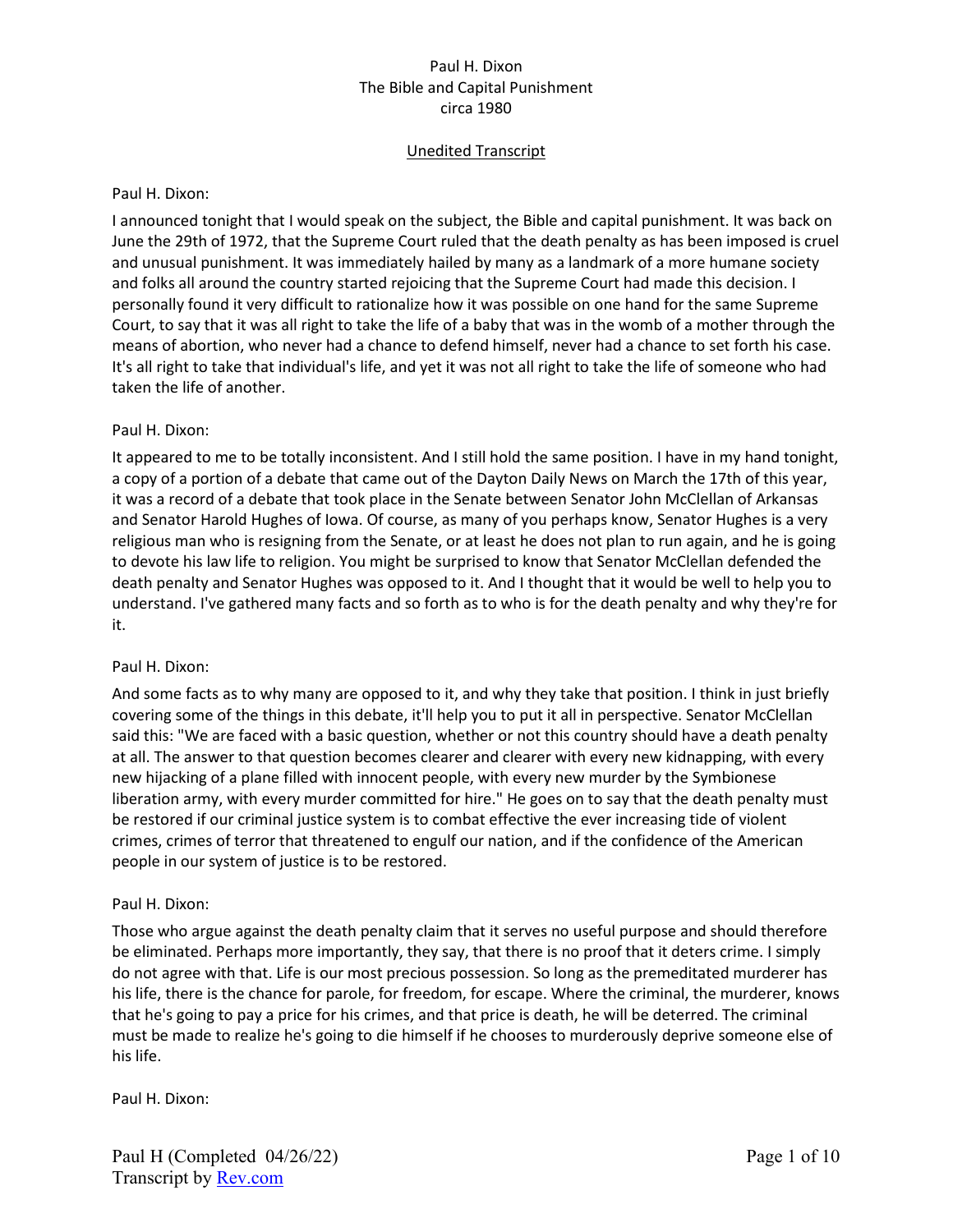# Unedited Transcript

### Paul H. Dixon:

I announced tonight that I would speak on the subject, the Bible and capital punishment. It was back on June the 29th of 1972, that the Supreme Court ruled that the death penalty as has been imposed is cruel and unusual punishment. It was immediately hailed by many as a landmark of a more humane society and folks all around the country started rejoicing that the Supreme Court had made this decision. I personally found it very difficult to rationalize how it was possible on one hand for the same Supreme Court, to say that it was all right to take the life of a baby that was in the womb of a mother through the means of abortion, who never had a chance to defend himself, never had a chance to set forth his case. It's all right to take that individual's life, and yet it was not all right to take the life of someone who had taken the life of another.

### Paul H. Dixon:

It appeared to me to be totally inconsistent. And I still hold the same position. I have in my hand tonight, a copy of a portion of a debate that came out of the Dayton Daily News on March the 17th of this year, it was a record of a debate that took place in the Senate between Senator John McClellan of Arkansas and Senator Harold Hughes of Iowa. Of course, as many of you perhaps know, Senator Hughes is a very religious man who is resigning from the Senate, or at least he does not plan to run again, and he is going to devote his law life to religion. You might be surprised to know that Senator McClellan defended the death penalty and Senator Hughes was opposed to it. And I thought that it would be well to help you to understand. I've gathered many facts and so forth as to who is for the death penalty and why they're for it.

### Paul H. Dixon:

And some facts as to why many are opposed to it, and why they take that position. I think in just briefly covering some of the things in this debate, it'll help you to put it all in perspective. Senator McClellan said this: "We are faced with a basic question, whether or not this country should have a death penalty at all. The answer to that question becomes clearer and clearer with every new kidnapping, with every new hijacking of a plane filled with innocent people, with every new murder by the Symbionese liberation army, with every murder committed for hire." He goes on to say that the death penalty must be restored if our criminal justice system is to combat effective the ever increasing tide of violent crimes, crimes of terror that threatened to engulf our nation, and if the confidence of the American people in our system of justice is to be restored.

### Paul H. Dixon:

Those who argue against the death penalty claim that it serves no useful purpose and should therefore be eliminated. Perhaps more importantly, they say, that there is no proof that it deters crime. I simply do not agree with that. Life is our most precious possession. So long as the premeditated murderer has his life, there is the chance for parole, for freedom, for escape. Where the criminal, the murderer, knows that he's going to pay a price for his crimes, and that price is death, he will be deterred. The criminal must be made to realize he's going to die himself if he chooses to murderously deprive someone else of his life.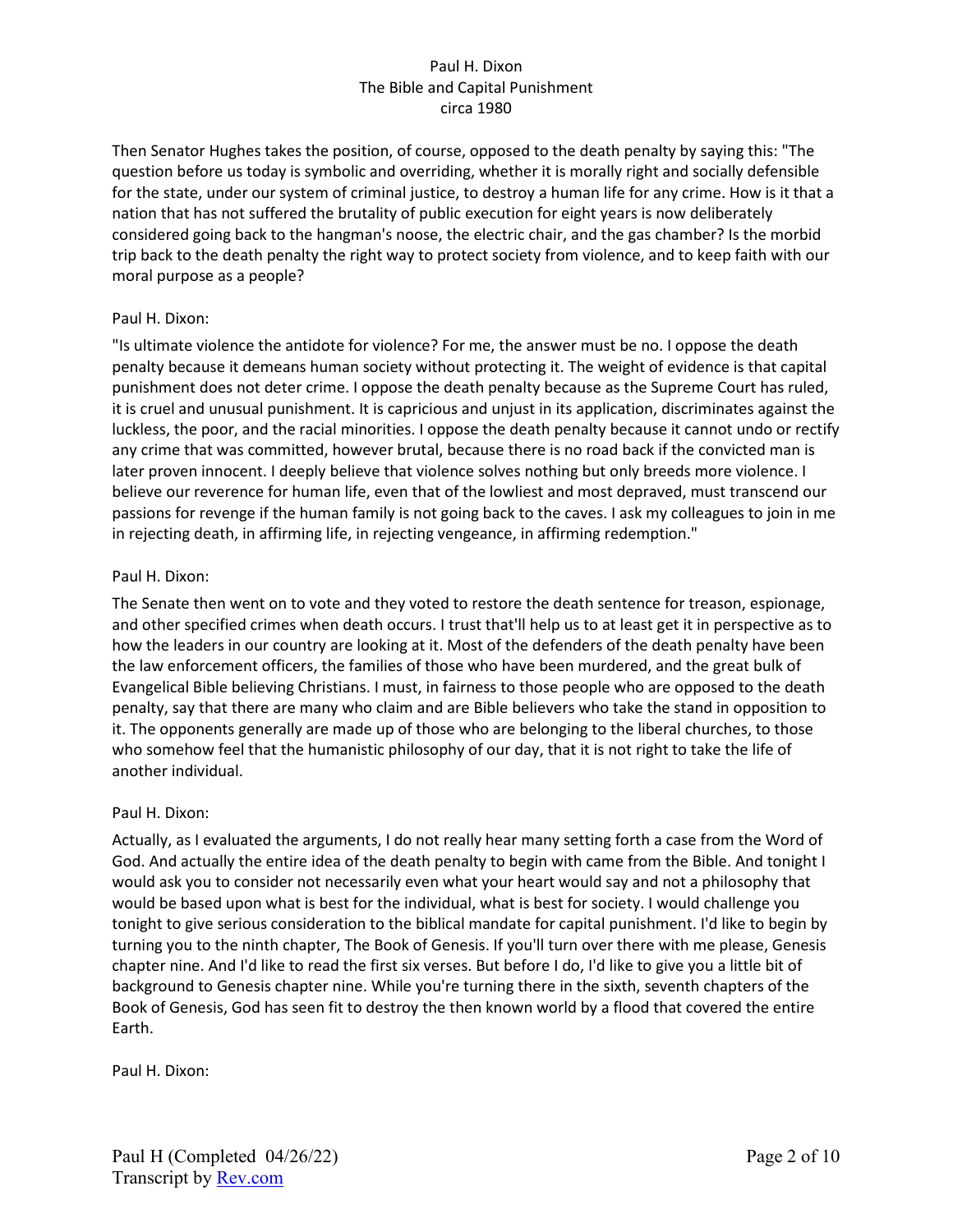Then Senator Hughes takes the position, of course, opposed to the death penalty by saying this: "The question before us today is symbolic and overriding, whether it is morally right and socially defensible for the state, under our system of criminal justice, to destroy a human life for any crime. How is it that a nation that has not suffered the brutality of public execution for eight years is now deliberately considered going back to the hangman's noose, the electric chair, and the gas chamber? Is the morbid trip back to the death penalty the right way to protect society from violence, and to keep faith with our moral purpose as a people?

### Paul H. Dixon:

"Is ultimate violence the antidote for violence? For me, the answer must be no. I oppose the death penalty because it demeans human society without protecting it. The weight of evidence is that capital punishment does not deter crime. I oppose the death penalty because as the Supreme Court has ruled, it is cruel and unusual punishment. It is capricious and unjust in its application, discriminates against the luckless, the poor, and the racial minorities. I oppose the death penalty because it cannot undo or rectify any crime that was committed, however brutal, because there is no road back if the convicted man is later proven innocent. I deeply believe that violence solves nothing but only breeds more violence. I believe our reverence for human life, even that of the lowliest and most depraved, must transcend our passions for revenge if the human family is not going back to the caves. I ask my colleagues to join in me in rejecting death, in affirming life, in rejecting vengeance, in affirming redemption."

### Paul H. Dixon:

The Senate then went on to vote and they voted to restore the death sentence for treason, espionage, and other specified crimes when death occurs. I trust that'll help us to at least get it in perspective as to how the leaders in our country are looking at it. Most of the defenders of the death penalty have been the law enforcement officers, the families of those who have been murdered, and the great bulk of Evangelical Bible believing Christians. I must, in fairness to those people who are opposed to the death penalty, say that there are many who claim and are Bible believers who take the stand in opposition to it. The opponents generally are made up of those who are belonging to the liberal churches, to those who somehow feel that the humanistic philosophy of our day, that it is not right to take the life of another individual.

# Paul H. Dixon:

Actually, as I evaluated the arguments, I do not really hear many setting forth a case from the Word of God. And actually the entire idea of the death penalty to begin with came from the Bible. And tonight I would ask you to consider not necessarily even what your heart would say and not a philosophy that would be based upon what is best for the individual, what is best for society. I would challenge you tonight to give serious consideration to the biblical mandate for capital punishment. I'd like to begin by turning you to the ninth chapter, The Book of Genesis. If you'll turn over there with me please, Genesis chapter nine. And I'd like to read the first six verses. But before I do, I'd like to give you a little bit of background to Genesis chapter nine. While you're turning there in the sixth, seventh chapters of the Book of Genesis, God has seen fit to destroy the then known world by a flood that covered the entire Earth.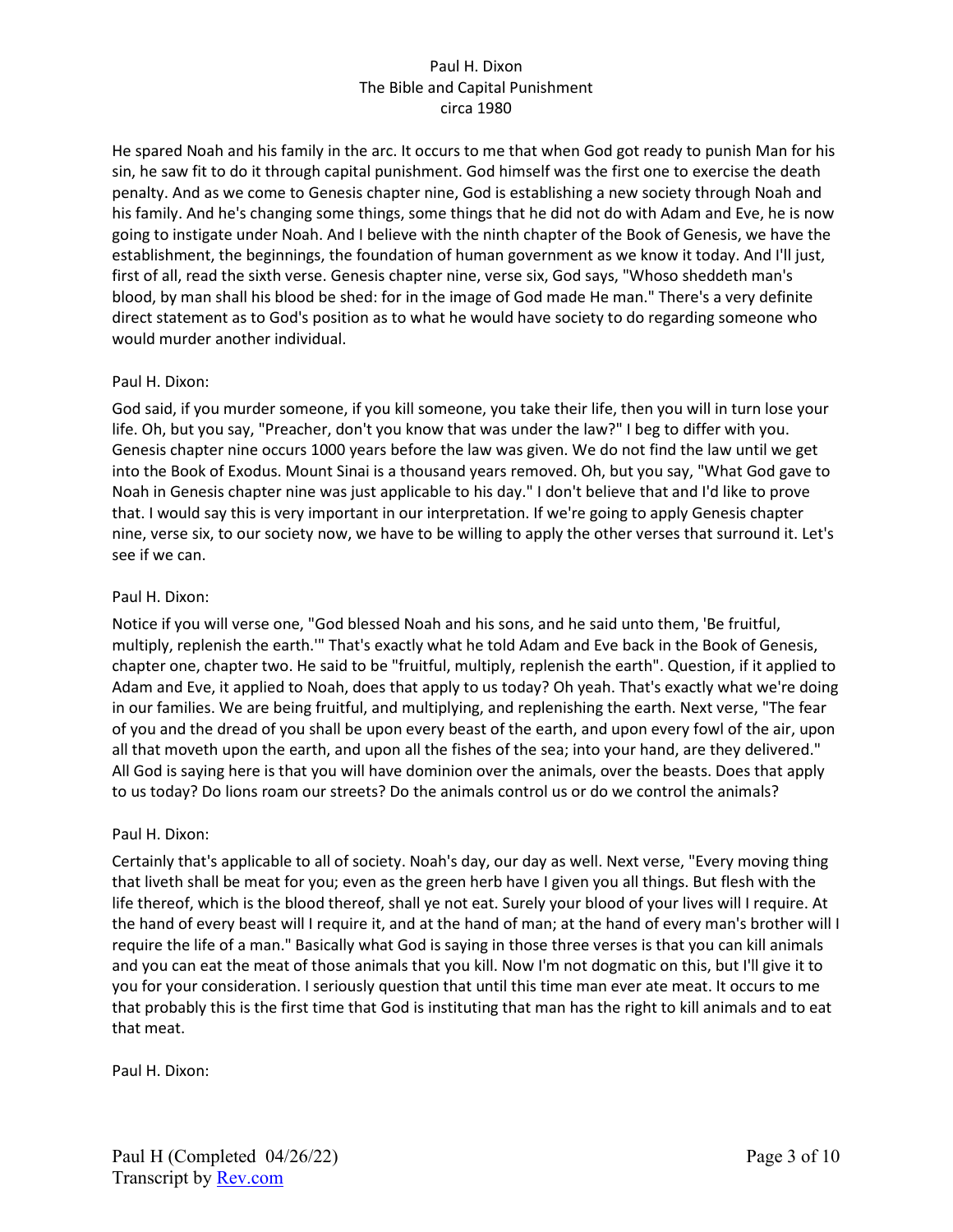He spared Noah and his family in the arc. It occurs to me that when God got ready to punish Man for his sin, he saw fit to do it through capital punishment. God himself was the first one to exercise the death penalty. And as we come to Genesis chapter nine, God is establishing a new society through Noah and his family. And he's changing some things, some things that he did not do with Adam and Eve, he is now going to instigate under Noah. And I believe with the ninth chapter of the Book of Genesis, we have the establishment, the beginnings, the foundation of human government as we know it today. And I'll just, first of all, read the sixth verse. Genesis chapter nine, verse six, God says, "Whoso sheddeth man's blood, by man shall his blood be shed: for in the image of God made He man." There's a very definite direct statement as to God's position as to what he would have society to do regarding someone who would murder another individual.

# Paul H. Dixon:

God said, if you murder someone, if you kill someone, you take their life, then you will in turn lose your life. Oh, but you say, "Preacher, don't you know that was under the law?" I beg to differ with you. Genesis chapter nine occurs 1000 years before the law was given. We do not find the law until we get into the Book of Exodus. Mount Sinai is a thousand years removed. Oh, but you say, "What God gave to Noah in Genesis chapter nine was just applicable to his day." I don't believe that and I'd like to prove that. I would say this is very important in our interpretation. If we're going to apply Genesis chapter nine, verse six, to our society now, we have to be willing to apply the other verses that surround it. Let's see if we can.

### Paul H. Dixon:

Notice if you will verse one, "God blessed Noah and his sons, and he said unto them, 'Be fruitful, multiply, replenish the earth.'" That's exactly what he told Adam and Eve back in the Book of Genesis, chapter one, chapter two. He said to be "fruitful, multiply, replenish the earth". Question, if it applied to Adam and Eve, it applied to Noah, does that apply to us today? Oh yeah. That's exactly what we're doing in our families. We are being fruitful, and multiplying, and replenishing the earth. Next verse, "The fear of you and the dread of you shall be upon every beast of the earth, and upon every fowl of the air, upon all that moveth upon the earth, and upon all the fishes of the sea; into your hand, are they delivered." All God is saying here is that you will have dominion over the animals, over the beasts. Does that apply to us today? Do lions roam our streets? Do the animals control us or do we control the animals?

# Paul H. Dixon:

Certainly that's applicable to all of society. Noah's day, our day as well. Next verse, "Every moving thing that liveth shall be meat for you; even as the green herb have I given you all things. But flesh with the life thereof, which is the blood thereof, shall ye not eat. Surely your blood of your lives will I require. At the hand of every beast will I require it, and at the hand of man; at the hand of every man's brother will I require the life of a man." Basically what God is saying in those three verses is that you can kill animals and you can eat the meat of those animals that you kill. Now I'm not dogmatic on this, but I'll give it to you for your consideration. I seriously question that until this time man ever ate meat. It occurs to me that probably this is the first time that God is instituting that man has the right to kill animals and to eat that meat.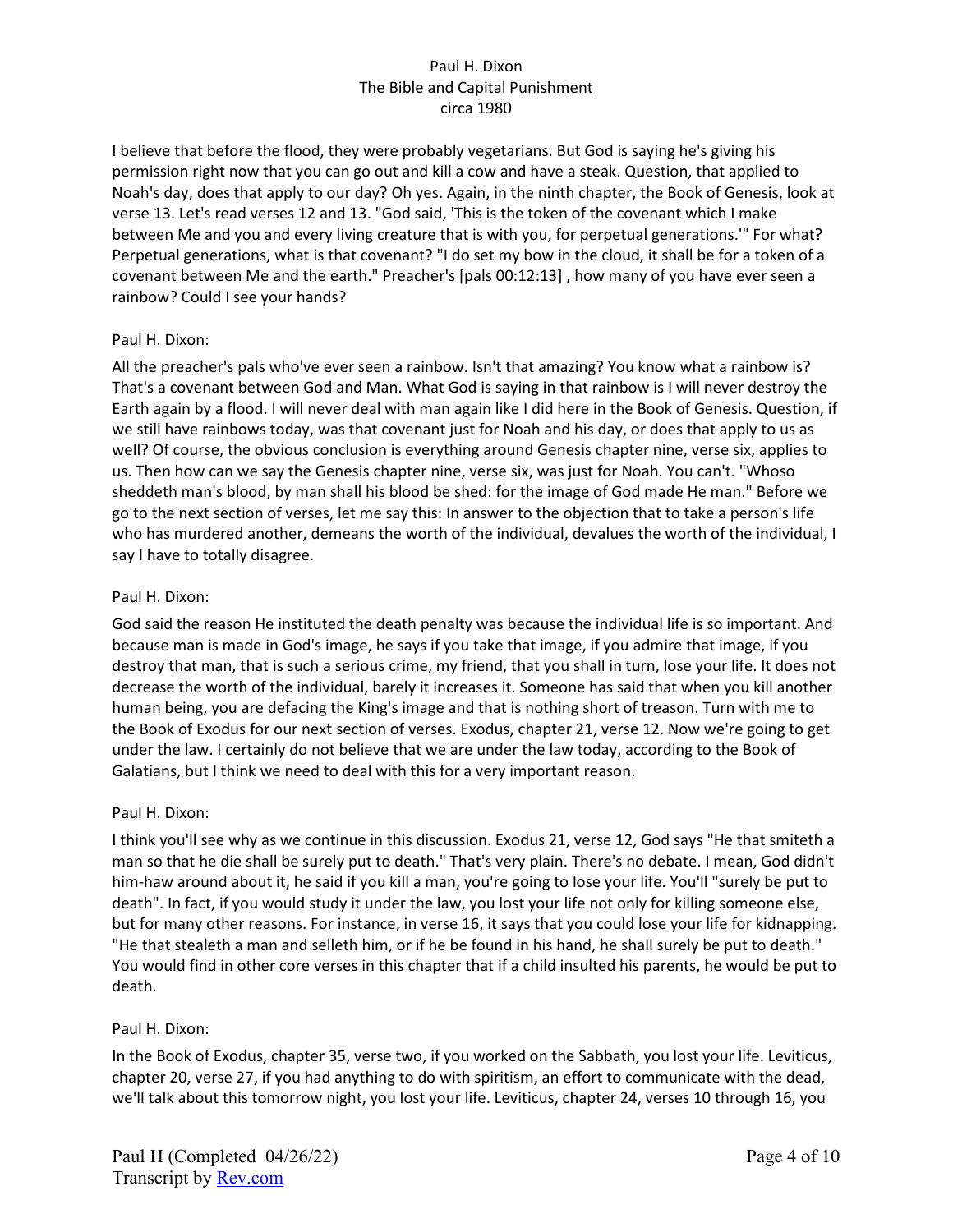I believe that before the flood, they were probably vegetarians. But God is saying he's giving his permission right now that you can go out and kill a cow and have a steak. Question, that applied to Noah's day, does that apply to our day? Oh yes. Again, in the ninth chapter, the Book of Genesis, look at verse 13. Let's read verses 12 and 13. "God said, 'This is the token of the covenant which I make between Me and you and every living creature that is with you, for perpetual generations.'" For what? Perpetual generations, what is that covenant? "I do set my bow in the cloud, it shall be for a token of a covenant between Me and the earth." Preacher's [pals 00:12:13] , how many of you have ever seen a rainbow? Could I see your hands?

### Paul H. Dixon:

All the preacher's pals who've ever seen a rainbow. Isn't that amazing? You know what a rainbow is? That's a covenant between God and Man. What God is saying in that rainbow is I will never destroy the Earth again by a flood. I will never deal with man again like I did here in the Book of Genesis. Question, if we still have rainbows today, was that covenant just for Noah and his day, or does that apply to us as well? Of course, the obvious conclusion is everything around Genesis chapter nine, verse six, applies to us. Then how can we say the Genesis chapter nine, verse six, was just for Noah. You can't. "Whoso sheddeth man's blood, by man shall his blood be shed: for the image of God made He man." Before we go to the next section of verses, let me say this: In answer to the objection that to take a person's life who has murdered another, demeans the worth of the individual, devalues the worth of the individual, I say I have to totally disagree.

### Paul H. Dixon:

God said the reason He instituted the death penalty was because the individual life is so important. And because man is made in God's image, he says if you take that image, if you admire that image, if you destroy that man, that is such a serious crime, my friend, that you shall in turn, lose your life. It does not decrease the worth of the individual, barely it increases it. Someone has said that when you kill another human being, you are defacing the King's image and that is nothing short of treason. Turn with me to the Book of Exodus for our next section of verses. Exodus, chapter 21, verse 12. Now we're going to get under the law. I certainly do not believe that we are under the law today, according to the Book of Galatians, but I think we need to deal with this for a very important reason.

# Paul H. Dixon:

I think you'll see why as we continue in this discussion. Exodus 21, verse 12, God says "He that smiteth a man so that he die shall be surely put to death." That's very plain. There's no debate. I mean, God didn't him-haw around about it, he said if you kill a man, you're going to lose your life. You'll "surely be put to death". In fact, if you would study it under the law, you lost your life not only for killing someone else, but for many other reasons. For instance, in verse 16, it says that you could lose your life for kidnapping. "He that stealeth a man and selleth him, or if he be found in his hand, he shall surely be put to death." You would find in other core verses in this chapter that if a child insulted his parents, he would be put to death.

# Paul H. Dixon:

In the Book of Exodus, chapter 35, verse two, if you worked on the Sabbath, you lost your life. Leviticus, chapter 20, verse 27, if you had anything to do with spiritism, an effort to communicate with the dead, we'll talk about this tomorrow night, you lost your life. Leviticus, chapter 24, verses 10 through 16, you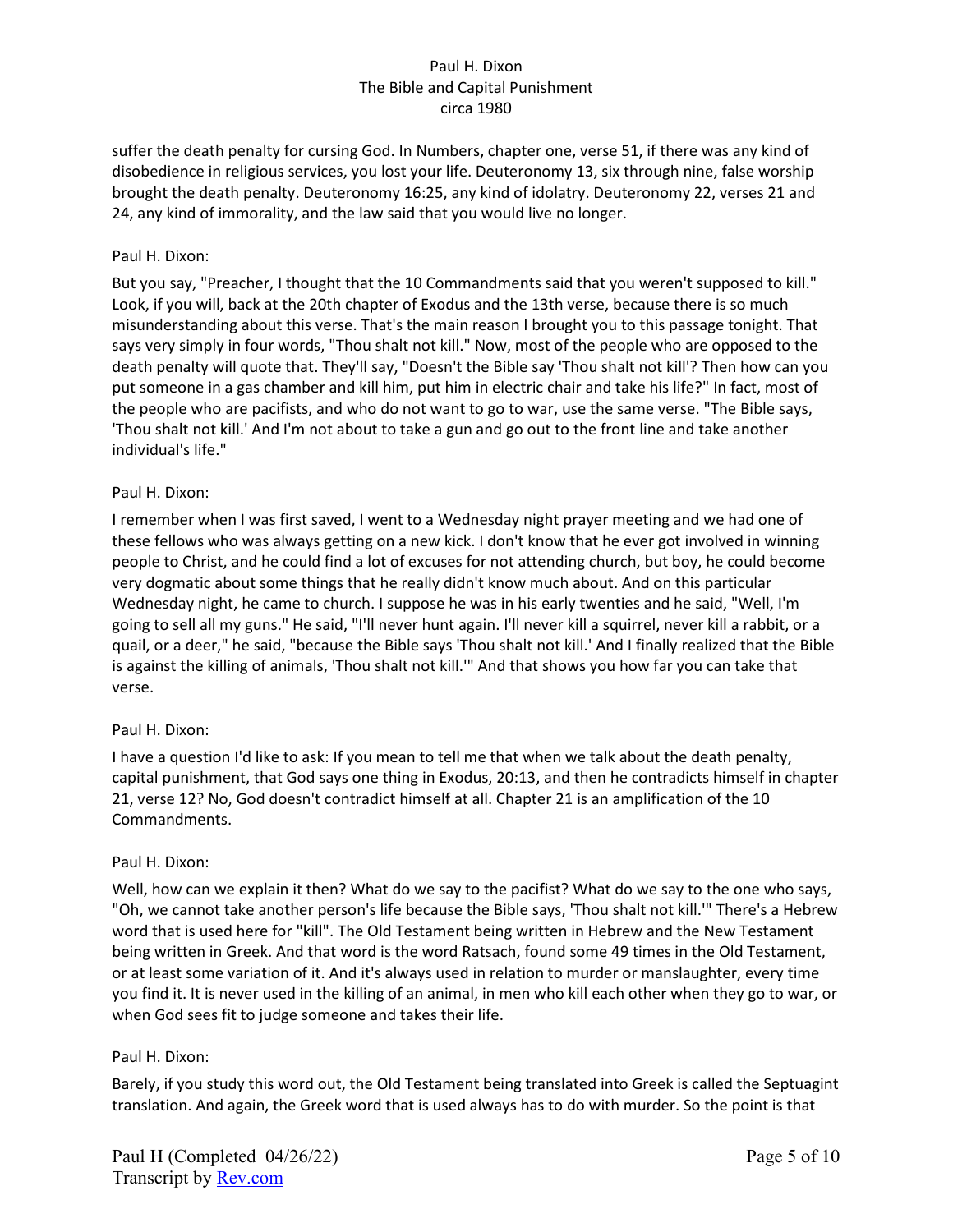suffer the death penalty for cursing God. In Numbers, chapter one, verse 51, if there was any kind of disobedience in religious services, you lost your life. Deuteronomy 13, six through nine, false worship brought the death penalty. Deuteronomy 16:25, any kind of idolatry. Deuteronomy 22, verses 21 and 24, any kind of immorality, and the law said that you would live no longer.

### Paul H. Dixon:

But you say, "Preacher, I thought that the 10 Commandments said that you weren't supposed to kill." Look, if you will, back at the 20th chapter of Exodus and the 13th verse, because there is so much misunderstanding about this verse. That's the main reason I brought you to this passage tonight. That says very simply in four words, "Thou shalt not kill." Now, most of the people who are opposed to the death penalty will quote that. They'll say, "Doesn't the Bible say 'Thou shalt not kill'? Then how can you put someone in a gas chamber and kill him, put him in electric chair and take his life?" In fact, most of the people who are pacifists, and who do not want to go to war, use the same verse. "The Bible says, 'Thou shalt not kill.' And I'm not about to take a gun and go out to the front line and take another individual's life."

### Paul H. Dixon:

I remember when I was first saved, I went to a Wednesday night prayer meeting and we had one of these fellows who was always getting on a new kick. I don't know that he ever got involved in winning people to Christ, and he could find a lot of excuses for not attending church, but boy, he could become very dogmatic about some things that he really didn't know much about. And on this particular Wednesday night, he came to church. I suppose he was in his early twenties and he said, "Well, I'm going to sell all my guns." He said, "I'll never hunt again. I'll never kill a squirrel, never kill a rabbit, or a quail, or a deer," he said, "because the Bible says 'Thou shalt not kill.' And I finally realized that the Bible is against the killing of animals, 'Thou shalt not kill.'" And that shows you how far you can take that verse.

# Paul H. Dixon:

I have a question I'd like to ask: If you mean to tell me that when we talk about the death penalty, capital punishment, that God says one thing in Exodus, 20:13, and then he contradicts himself in chapter 21, verse 12? No, God doesn't contradict himself at all. Chapter 21 is an amplification of the 10 Commandments.

### Paul H. Dixon:

Well, how can we explain it then? What do we say to the pacifist? What do we say to the one who says, "Oh, we cannot take another person's life because the Bible says, 'Thou shalt not kill.'" There's a Hebrew word that is used here for "kill". The Old Testament being written in Hebrew and the New Testament being written in Greek. And that word is the word Ratsach, found some 49 times in the Old Testament, or at least some variation of it. And it's always used in relation to murder or manslaughter, every time you find it. It is never used in the killing of an animal, in men who kill each other when they go to war, or when God sees fit to judge someone and takes their life.

### Paul H. Dixon:

Barely, if you study this word out, the Old Testament being translated into Greek is called the Septuagint translation. And again, the Greek word that is used always has to do with murder. So the point is that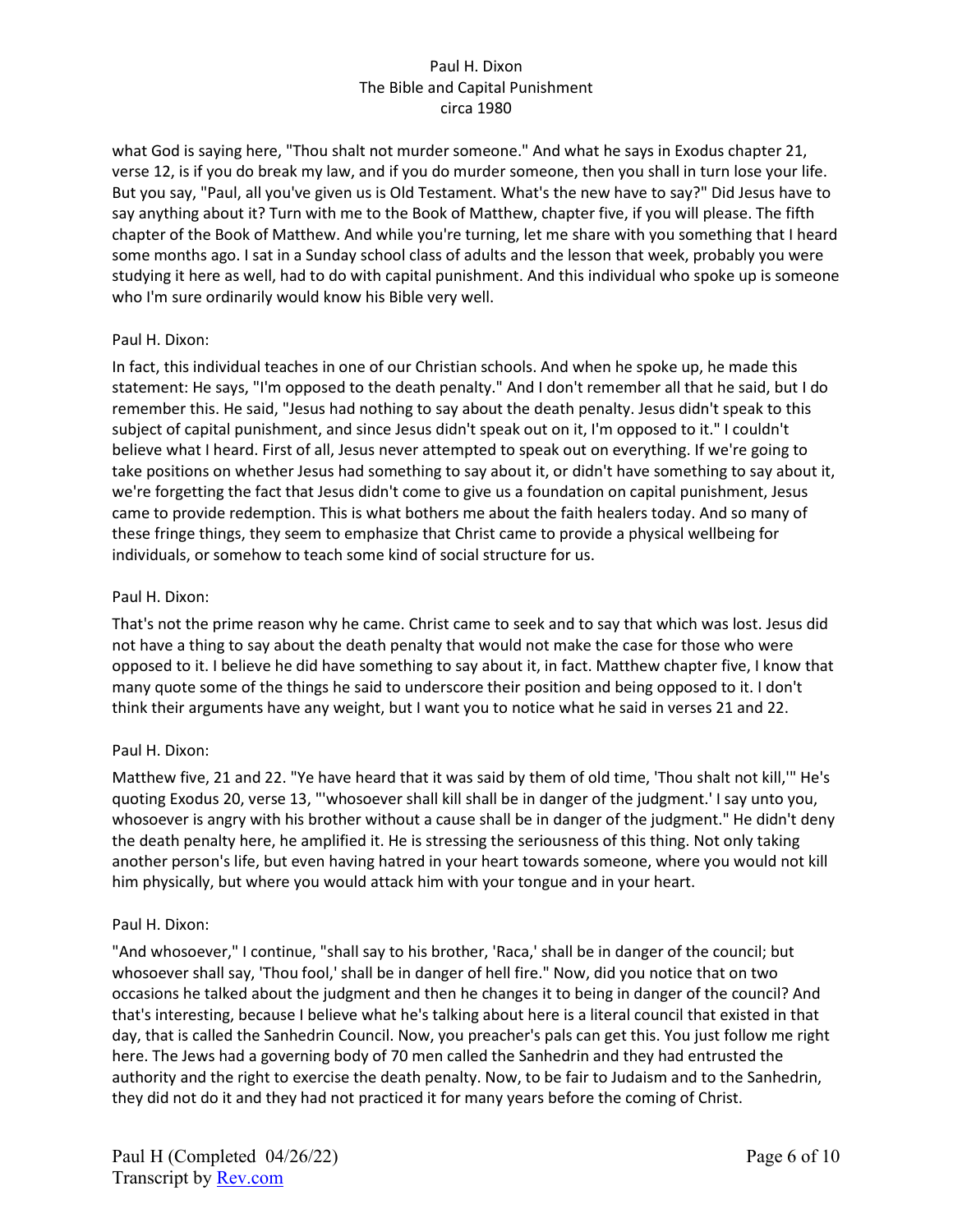what God is saying here, "Thou shalt not murder someone." And what he says in Exodus chapter 21, verse 12, is if you do break my law, and if you do murder someone, then you shall in turn lose your life. But you say, "Paul, all you've given us is Old Testament. What's the new have to say?" Did Jesus have to say anything about it? Turn with me to the Book of Matthew, chapter five, if you will please. The fifth chapter of the Book of Matthew. And while you're turning, let me share with you something that I heard some months ago. I sat in a Sunday school class of adults and the lesson that week, probably you were studying it here as well, had to do with capital punishment. And this individual who spoke up is someone who I'm sure ordinarily would know his Bible very well.

# Paul H. Dixon:

In fact, this individual teaches in one of our Christian schools. And when he spoke up, he made this statement: He says, "I'm opposed to the death penalty." And I don't remember all that he said, but I do remember this. He said, "Jesus had nothing to say about the death penalty. Jesus didn't speak to this subject of capital punishment, and since Jesus didn't speak out on it, I'm opposed to it." I couldn't believe what I heard. First of all, Jesus never attempted to speak out on everything. If we're going to take positions on whether Jesus had something to say about it, or didn't have something to say about it, we're forgetting the fact that Jesus didn't come to give us a foundation on capital punishment, Jesus came to provide redemption. This is what bothers me about the faith healers today. And so many of these fringe things, they seem to emphasize that Christ came to provide a physical wellbeing for individuals, or somehow to teach some kind of social structure for us.

# Paul H. Dixon:

That's not the prime reason why he came. Christ came to seek and to say that which was lost. Jesus did not have a thing to say about the death penalty that would not make the case for those who were opposed to it. I believe he did have something to say about it, in fact. Matthew chapter five, I know that many quote some of the things he said to underscore their position and being opposed to it. I don't think their arguments have any weight, but I want you to notice what he said in verses 21 and 22.

# Paul H. Dixon:

Matthew five, 21 and 22. "Ye have heard that it was said by them of old time, 'Thou shalt not kill,'" He's quoting Exodus 20, verse 13, "'whosoever shall kill shall be in danger of the judgment.' I say unto you, whosoever is angry with his brother without a cause shall be in danger of the judgment." He didn't deny the death penalty here, he amplified it. He is stressing the seriousness of this thing. Not only taking another person's life, but even having hatred in your heart towards someone, where you would not kill him physically, but where you would attack him with your tongue and in your heart.

# Paul H. Dixon:

"And whosoever," I continue, "shall say to his brother, 'Raca,' shall be in danger of the council; but whosoever shall say, 'Thou fool,' shall be in danger of hell fire." Now, did you notice that on two occasions he talked about the judgment and then he changes it to being in danger of the council? And that's interesting, because I believe what he's talking about here is a literal council that existed in that day, that is called the Sanhedrin Council. Now, you preacher's pals can get this. You just follow me right here. The Jews had a governing body of 70 men called the Sanhedrin and they had entrusted the authority and the right to exercise the death penalty. Now, to be fair to Judaism and to the Sanhedrin, they did not do it and they had not practiced it for many years before the coming of Christ.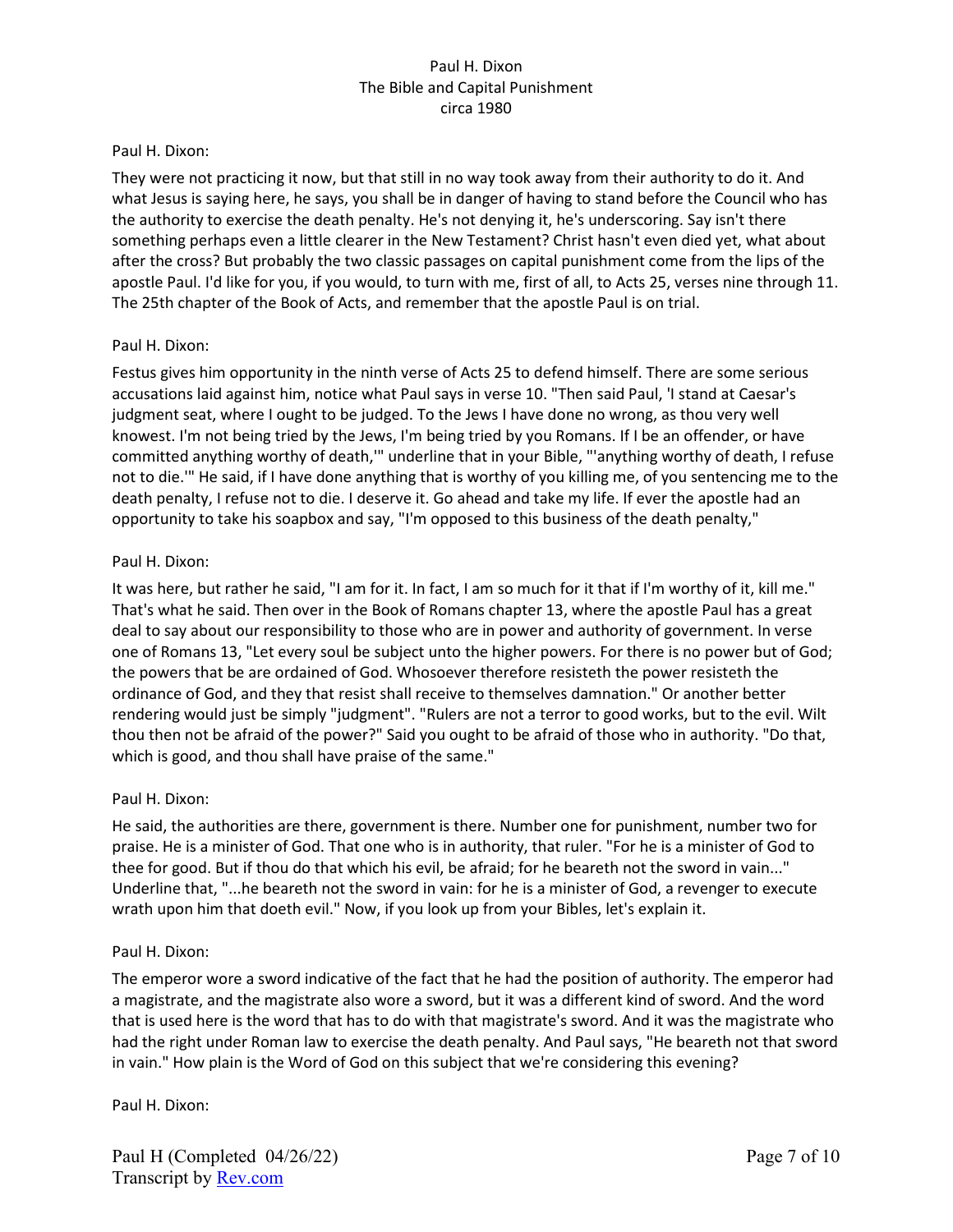### Paul H. Dixon:

They were not practicing it now, but that still in no way took away from their authority to do it. And what Jesus is saying here, he says, you shall be in danger of having to stand before the Council who has the authority to exercise the death penalty. He's not denying it, he's underscoring. Say isn't there something perhaps even a little clearer in the New Testament? Christ hasn't even died yet, what about after the cross? But probably the two classic passages on capital punishment come from the lips of the apostle Paul. I'd like for you, if you would, to turn with me, first of all, to Acts 25, verses nine through 11. The 25th chapter of the Book of Acts, and remember that the apostle Paul is on trial.

### Paul H. Dixon:

Festus gives him opportunity in the ninth verse of Acts 25 to defend himself. There are some serious accusations laid against him, notice what Paul says in verse 10. "Then said Paul, 'I stand at Caesar's judgment seat, where I ought to be judged. To the Jews I have done no wrong, as thou very well knowest. I'm not being tried by the Jews, I'm being tried by you Romans. If I be an offender, or have committed anything worthy of death,'" underline that in your Bible, "'anything worthy of death, I refuse not to die.'" He said, if I have done anything that is worthy of you killing me, of you sentencing me to the death penalty, I refuse not to die. I deserve it. Go ahead and take my life. If ever the apostle had an opportunity to take his soapbox and say, "I'm opposed to this business of the death penalty,"

#### Paul H. Dixon:

It was here, but rather he said, "I am for it. In fact, I am so much for it that if I'm worthy of it, kill me." That's what he said. Then over in the Book of Romans chapter 13, where the apostle Paul has a great deal to say about our responsibility to those who are in power and authority of government. In verse one of Romans 13, "Let every soul be subject unto the higher powers. For there is no power but of God; the powers that be are ordained of God. Whosoever therefore resisteth the power resisteth the ordinance of God, and they that resist shall receive to themselves damnation." Or another better rendering would just be simply "judgment". "Rulers are not a terror to good works, but to the evil. Wilt thou then not be afraid of the power?" Said you ought to be afraid of those who in authority. "Do that, which is good, and thou shall have praise of the same."

### Paul H. Dixon:

He said, the authorities are there, government is there. Number one for punishment, number two for praise. He is a minister of God. That one who is in authority, that ruler. "For he is a minister of God to thee for good. But if thou do that which his evil, be afraid; for he beareth not the sword in vain..." Underline that, "...he beareth not the sword in vain: for he is a minister of God, a revenger to execute wrath upon him that doeth evil." Now, if you look up from your Bibles, let's explain it.

#### Paul H. Dixon:

The emperor wore a sword indicative of the fact that he had the position of authority. The emperor had a magistrate, and the magistrate also wore a sword, but it was a different kind of sword. And the word that is used here is the word that has to do with that magistrate's sword. And it was the magistrate who had the right under Roman law to exercise the death penalty. And Paul says, "He beareth not that sword in vain." How plain is the Word of God on this subject that we're considering this evening?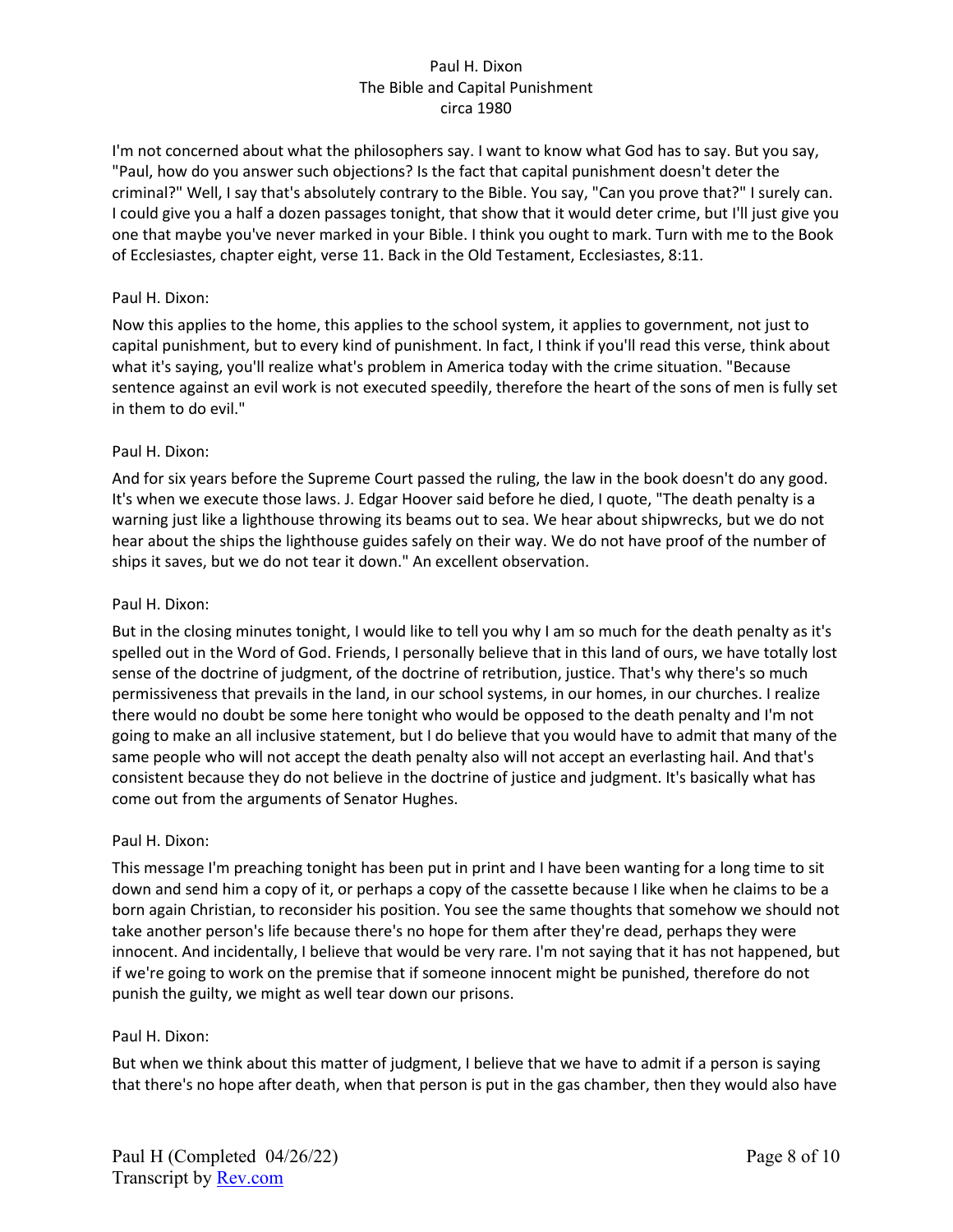I'm not concerned about what the philosophers say. I want to know what God has to say. But you say, "Paul, how do you answer such objections? Is the fact that capital punishment doesn't deter the criminal?" Well, I say that's absolutely contrary to the Bible. You say, "Can you prove that?" I surely can. I could give you a half a dozen passages tonight, that show that it would deter crime, but I'll just give you one that maybe you've never marked in your Bible. I think you ought to mark. Turn with me to the Book of Ecclesiastes, chapter eight, verse 11. Back in the Old Testament, Ecclesiastes, 8:11.

### Paul H. Dixon:

Now this applies to the home, this applies to the school system, it applies to government, not just to capital punishment, but to every kind of punishment. In fact, I think if you'll read this verse, think about what it's saying, you'll realize what's problem in America today with the crime situation. "Because sentence against an evil work is not executed speedily, therefore the heart of the sons of men is fully set in them to do evil."

### Paul H. Dixon:

And for six years before the Supreme Court passed the ruling, the law in the book doesn't do any good. It's when we execute those laws. J. Edgar Hoover said before he died, I quote, "The death penalty is a warning just like a lighthouse throwing its beams out to sea. We hear about shipwrecks, but we do not hear about the ships the lighthouse guides safely on their way. We do not have proof of the number of ships it saves, but we do not tear it down." An excellent observation.

### Paul H. Dixon:

But in the closing minutes tonight, I would like to tell you why I am so much for the death penalty as it's spelled out in the Word of God. Friends, I personally believe that in this land of ours, we have totally lost sense of the doctrine of judgment, of the doctrine of retribution, justice. That's why there's so much permissiveness that prevails in the land, in our school systems, in our homes, in our churches. I realize there would no doubt be some here tonight who would be opposed to the death penalty and I'm not going to make an all inclusive statement, but I do believe that you would have to admit that many of the same people who will not accept the death penalty also will not accept an everlasting hail. And that's consistent because they do not believe in the doctrine of justice and judgment. It's basically what has come out from the arguments of Senator Hughes.

### Paul H. Dixon:

This message I'm preaching tonight has been put in print and I have been wanting for a long time to sit down and send him a copy of it, or perhaps a copy of the cassette because I like when he claims to be a born again Christian, to reconsider his position. You see the same thoughts that somehow we should not take another person's life because there's no hope for them after they're dead, perhaps they were innocent. And incidentally, I believe that would be very rare. I'm not saying that it has not happened, but if we're going to work on the premise that if someone innocent might be punished, therefore do not punish the guilty, we might as well tear down our prisons.

### Paul H. Dixon:

But when we think about this matter of judgment, I believe that we have to admit if a person is saying that there's no hope after death, when that person is put in the gas chamber, then they would also have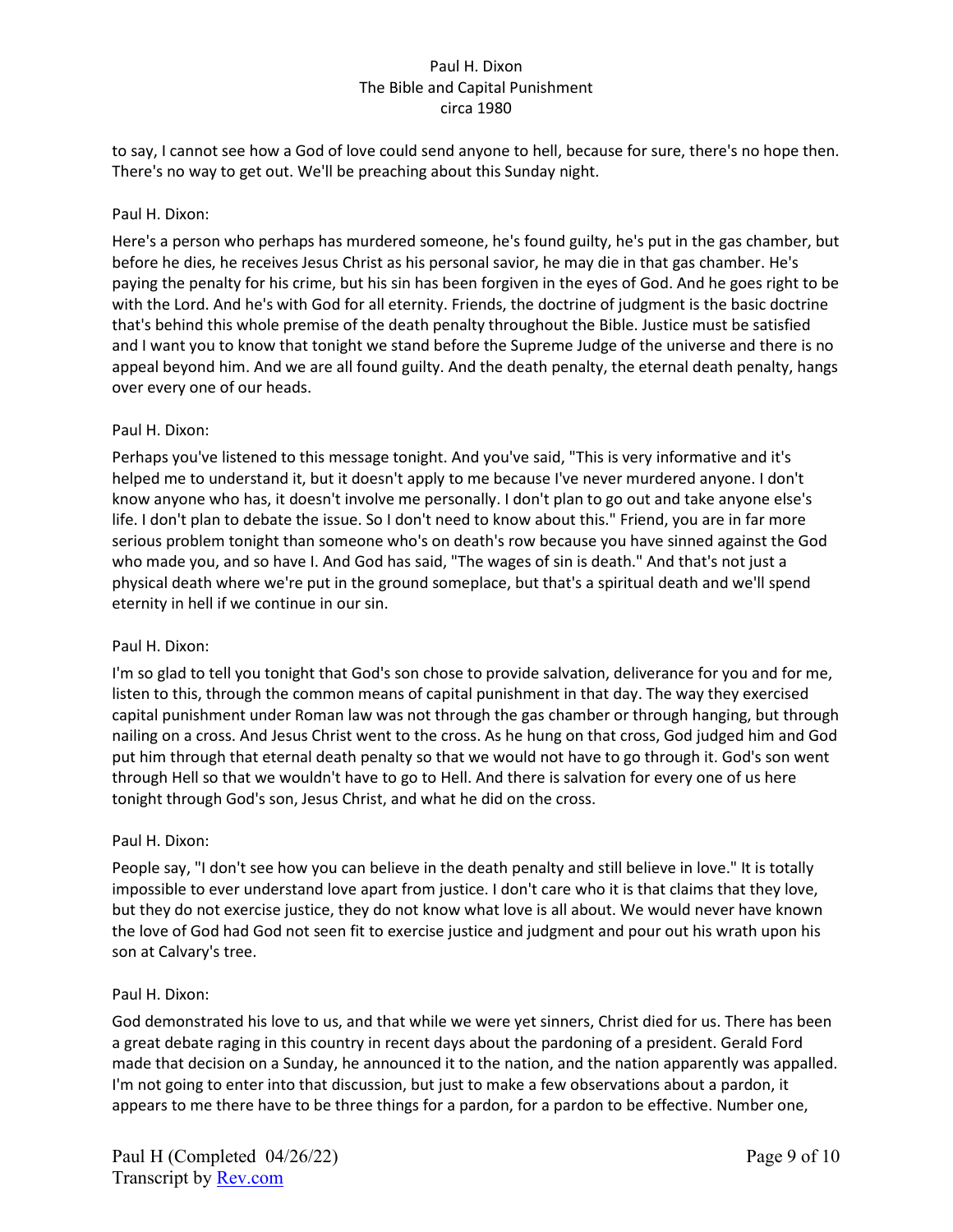to say, I cannot see how a God of love could send anyone to hell, because for sure, there's no hope then. There's no way to get out. We'll be preaching about this Sunday night.

### Paul H. Dixon:

Here's a person who perhaps has murdered someone, he's found guilty, he's put in the gas chamber, but before he dies, he receives Jesus Christ as his personal savior, he may die in that gas chamber. He's paying the penalty for his crime, but his sin has been forgiven in the eyes of God. And he goes right to be with the Lord. And he's with God for all eternity. Friends, the doctrine of judgment is the basic doctrine that's behind this whole premise of the death penalty throughout the Bible. Justice must be satisfied and I want you to know that tonight we stand before the Supreme Judge of the universe and there is no appeal beyond him. And we are all found guilty. And the death penalty, the eternal death penalty, hangs over every one of our heads.

### Paul H. Dixon:

Perhaps you've listened to this message tonight. And you've said, "This is very informative and it's helped me to understand it, but it doesn't apply to me because I've never murdered anyone. I don't know anyone who has, it doesn't involve me personally. I don't plan to go out and take anyone else's life. I don't plan to debate the issue. So I don't need to know about this." Friend, you are in far more serious problem tonight than someone who's on death's row because you have sinned against the God who made you, and so have I. And God has said, "The wages of sin is death." And that's not just a physical death where we're put in the ground someplace, but that's a spiritual death and we'll spend eternity in hell if we continue in our sin.

### Paul H. Dixon:

I'm so glad to tell you tonight that God's son chose to provide salvation, deliverance for you and for me, listen to this, through the common means of capital punishment in that day. The way they exercised capital punishment under Roman law was not through the gas chamber or through hanging, but through nailing on a cross. And Jesus Christ went to the cross. As he hung on that cross, God judged him and God put him through that eternal death penalty so that we would not have to go through it. God's son went through Hell so that we wouldn't have to go to Hell. And there is salvation for every one of us here tonight through God's son, Jesus Christ, and what he did on the cross.

# Paul H. Dixon:

People say, "I don't see how you can believe in the death penalty and still believe in love." It is totally impossible to ever understand love apart from justice. I don't care who it is that claims that they love, but they do not exercise justice, they do not know what love is all about. We would never have known the love of God had God not seen fit to exercise justice and judgment and pour out his wrath upon his son at Calvary's tree.

### Paul H. Dixon:

God demonstrated his love to us, and that while we were yet sinners, Christ died for us. There has been a great debate raging in this country in recent days about the pardoning of a president. Gerald Ford made that decision on a Sunday, he announced it to the nation, and the nation apparently was appalled. I'm not going to enter into that discussion, but just to make a few observations about a pardon, it appears to me there have to be three things for a pardon, for a pardon to be effective. Number one,